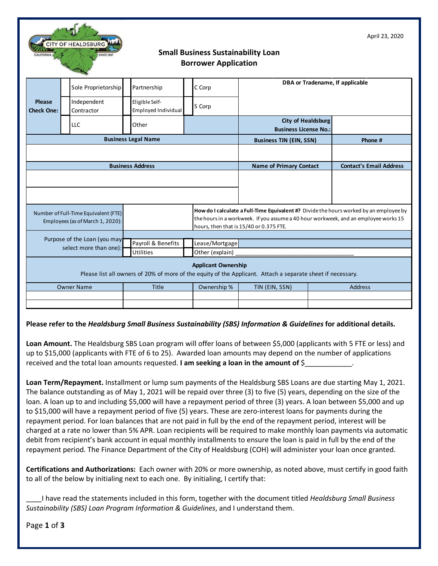| APHIL 29, 2020<br><b>CITY OF HEALDSBURG</b><br><b>Small Business Sustainability Loan</b><br><b>Borrower Application</b>                   |                                                        |                                        |                                   |                                                                                                                                                                                                                          |         |                                |  |
|-------------------------------------------------------------------------------------------------------------------------------------------|--------------------------------------------------------|----------------------------------------|-----------------------------------|--------------------------------------------------------------------------------------------------------------------------------------------------------------------------------------------------------------------------|---------|--------------------------------|--|
|                                                                                                                                           | Sole Proprietorship                                    | Partnership                            | C Corp                            | DBA or Tradename, If applicable                                                                                                                                                                                          |         |                                |  |
| <b>Please</b><br><b>Check One:</b>                                                                                                        | Independent<br>Contractor                              | Eligible Self-<br>Employed Individual  | S Corp                            |                                                                                                                                                                                                                          |         |                                |  |
|                                                                                                                                           | LLC                                                    | Other                                  |                                   | <b>City of Healdsburg</b><br><b>Business License No.:</b>                                                                                                                                                                |         |                                |  |
| <b>Business Legal Name</b>                                                                                                                |                                                        |                                        | <b>Business TIN (EIN, SSN)</b>    |                                                                                                                                                                                                                          | Phone # |                                |  |
|                                                                                                                                           |                                                        |                                        |                                   |                                                                                                                                                                                                                          |         |                                |  |
| <b>Business Address</b>                                                                                                                   |                                                        |                                        |                                   | <b>Name of Primary Contact</b>                                                                                                                                                                                           |         | <b>Contact's Email Address</b> |  |
|                                                                                                                                           |                                                        |                                        |                                   |                                                                                                                                                                                                                          |         |                                |  |
| Number of Full-Time Equivalent (FTE)<br>Employees (as of March 1, 2020):                                                                  |                                                        |                                        |                                   | How do I calculate a Full-Time Equivalent #? Divide the hours worked by an employee by<br>the hours in a workweek. If you assume a 40 hour workweek, and an employee works 15<br>hours, then that is 15/40 or 0.375 FTE. |         |                                |  |
|                                                                                                                                           | Purpose of the Loan (you may<br>select more than one): | Payroll & Benefits<br><b>Utilities</b> | Lease/Mortgage<br>Other (explain) |                                                                                                                                                                                                                          |         |                                |  |
| <b>Applicant Ownership</b><br>Please list all owners of 20% of more of the equity of the Applicant. Attach a separate sheet if necessary. |                                                        |                                        |                                   |                                                                                                                                                                                                                          |         |                                |  |
| <b>Owner Name</b>                                                                                                                         |                                                        | <b>Title</b>                           | Ownership %                       | TIN (EIN, SSN)                                                                                                                                                                                                           |         | <b>Address</b>                 |  |
|                                                                                                                                           |                                                        |                                        |                                   |                                                                                                                                                                                                                          |         |                                |  |
|                                                                                                                                           |                                                        |                                        |                                   |                                                                                                                                                                                                                          |         |                                |  |

April 23, 2020

## **Please refer to the** *Healdsburg Small Business Sustainability (SBS) Information & Guidelines* **for additional details.**

**Loan Amount.** The Healdsburg SBS Loan program will offer loans of between \$5,000 (applicants with 5 FTE or less) and up to \$15,000 (applicants with FTE of 6 to 25). Awarded loan amounts may depend on the number of applications received and the total loan amounts requested. **I am seeking a loan in the amount of** \$\_\_\_\_\_\_\_\_\_\_\_\_.

**Loan Term/Repayment.** Installment or lump sum payments of the Healdsburg SBS Loans are due starting May 1, 2021. The balance outstanding as of May 1, 2021 will be repaid over three (3) to five (5) years, depending on the size of the loan. A loan up to and including \$5,000 will have a repayment period of three (3) years. A loan between \$5,000 and up to \$15,000 will have a repayment period of five (5) years. These are zero-interest loans for payments during the repayment period. For loan balances that are not paid in full by the end of the repayment period, interest will be charged at a rate no lower than 5% APR. Loan recipients will be required to make monthly loan payments via automatic debit from recipient's bank account in equal monthly installments to ensure the loan is paid in full by the end of the repayment period. The Finance Department of the City of Healdsburg (COH) will administer your loan once granted.

**Certifications and Authorizations:** Each owner with 20% or more ownership, as noted above, must certify in good faith to all of the below by initialing next to each one. By initialing, I certify that:

\_\_\_\_I have read the statements included in this form, together with the document titled *Healdsburg Small Business Sustainability (SBS) Loan Program Information & Guidelines*, and I understand them.

Page **1** of **3**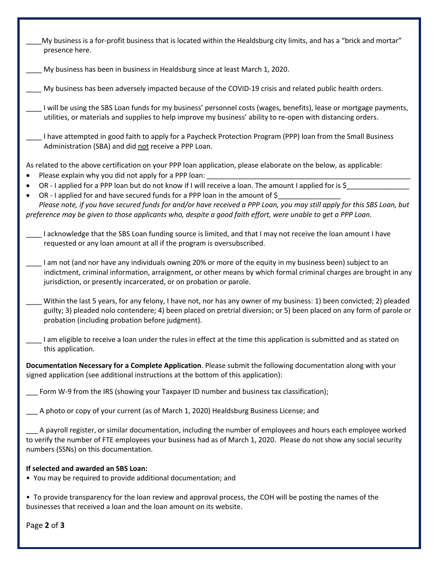| My business is a for-profit business that is located within the Healdsburg city limits, and has a "brick and mortar"<br>presence here.                                                                                                                                                                 |
|--------------------------------------------------------------------------------------------------------------------------------------------------------------------------------------------------------------------------------------------------------------------------------------------------------|
| My business has been in business in Healdsburg since at least March 1, 2020.                                                                                                                                                                                                                           |
| My business has been adversely impacted because of the COVID-19 crisis and related public health orders.                                                                                                                                                                                               |
| I will be using the SBS Loan funds for my business' personnel costs (wages, benefits), lease or mortgage payments,<br>utilities, or materials and supplies to help improve my business' ability to re-open with distancing orders.                                                                     |
| I have attempted in good faith to apply for a Paycheck Protection Program (PPP) loan from the Small Business<br>Administration (SBA) and did not receive a PPP Loan.                                                                                                                                   |
| As related to the above certification on your PPP loan application, please elaborate on the below, as applicable:<br>Please explain why you did not apply for a PPP loan:                                                                                                                              |
| OR - I applied for a PPP loan but do not know if I will receive a loan. The amount I applied for is $\frac{2}{3}$                                                                                                                                                                                      |
| OR - I applied for and have secured funds for a PPP loan in the amount of \$                                                                                                                                                                                                                           |
| Please note, if you have secured funds for and/or have received a PPP Loan, you may still apply for this SBS Loan, but<br>preference may be given to those applicants who, despite a good faith effort, were unable to get a PPP Loan.                                                                 |
| I acknowledge that the SBS Loan funding source is limited, and that I may not receive the loan amount I have<br>requested or any loan amount at all if the program is oversubscribed.                                                                                                                  |
| I am not (and nor have any individuals owning 20% or more of the equity in my business been) subject to an<br>indictment, criminal information, arraignment, or other means by which formal criminal charges are brought in any<br>jurisdiction, or presently incarcerated, or on probation or parole. |
| Within the last 5 years, for any felony, I have not, nor has any owner of my business: 1) been convicted; 2) pleaded<br>guilty; 3) pleaded nolo contendere; 4) been placed on pretrial diversion; or 5) been placed on any form of parole or<br>probation (including probation before judgment).       |
| I am eligible to receive a loan under the rules in effect at the time this application is submitted and as stated on<br>this application.                                                                                                                                                              |
| Documentation Necessary for a Complete Application. Please submit the following documentation along with your<br>signed application (see additional instructions at the bottom of this application):                                                                                                   |
| Form W-9 from the IRS (showing your Taxpayer ID number and business tax classification);                                                                                                                                                                                                               |
| A photo or copy of your current (as of March 1, 2020) Healdsburg Business License; and                                                                                                                                                                                                                 |
| A payroll register, or similar documentation, including the number of employees and hours each employee worked<br>to verify the number of FTE employees your business had as of March 1, 2020. Please do not show any social security<br>numbers (SSNs) on this documentation.                         |
| If selected and awarded an SBS Loan:<br>• You may be required to provide additional documentation; and                                                                                                                                                                                                 |
| • To provide transparency for the loan review and approval process, the COH will be posting the names of the<br>businesses that received a loan and the loan amount on its website.                                                                                                                    |

Page **2** of **3**